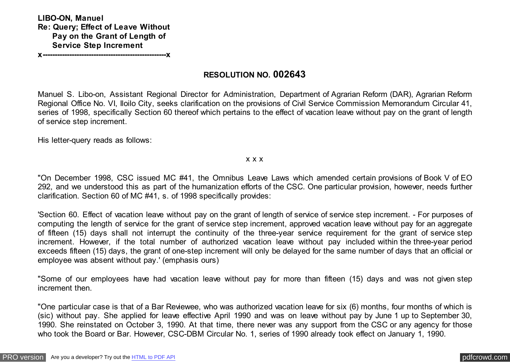**LIBO-ON, Manuel Re: Query; Effect of Leave Without Pay on the Grant of Length of Service Step Increment**

**x---------------------------------------------------x**

## **RESOLUTION NO. 002643**

Manuel S. Libo-on, Assistant Regional Director for Administration, Department of Agrarian Reform (DAR), Agrarian Reform Regional Office No. VI, Iloilo City, seeks clarification on the provisions of Civil Service Commission Memorandum Circular 41, series of 1998, specifically Section 60 thereof which pertains to the effect of vacation leave without pay on the grant of length of service step increment.

His letter-query reads as follows:

#### x x x

"On December 1998, CSC issued MC #41, the Omnibus Leave Laws which amended certain provisions of Book V of EO 292, and we understood this as part of the humanization efforts of the CSC. One particular provision, however, needs further clarification. Section 60 of MC #41, s. of 1998 specifically provides:

'Section 60. Effect of vacation leave without pay on the grant of length of service of service step increment. - For purposes of computing the length of service for the grant of service step increment, approved vacation leave without pay for an aggregate of fifteen (15) days shall not interrupt the continuity of the three-year service requirement for the grant of service step increment. However, if the total number of authorized vacation leave without pay included within the three-year period exceeds fifteen (15) days, the grant of one-step increment will only be delayed for the same number of days that an official or employee was absent without pay.' (emphasis ours)

"Some of our employees have had vacation leave without pay for more than fifteen (15) days and was not given step increment then.

"One particular case is that of a Bar Reviewee, who was authorized vacation leave for six (6) months, four months of which is (sic) without pay. She applied for leave effective April 1990 and was on leave without pay by June 1 up to September 30, 1990. She reinstated on October 3, 1990. At that time, there never was any support from the CSC or any agency for those who took the Board or Bar. However, CSC-DBM Circular No. 1, series of 1990 already took effect on January 1, 1990.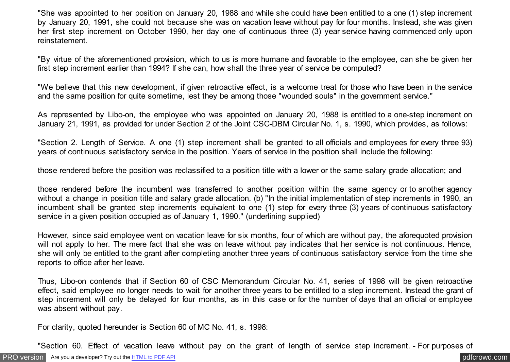"She was appointed to her position on January 20, 1988 and while she could have been entitled to a one (1) step increment by January 20, 1991, she could not because she was on vacation leave without pay for four months. Instead, she was given her first step increment on October 1990, her day one of continuous three (3) year service having commenced only upon reinstatement.

"By virtue of the aforementioned provision, which to us is more humane and favorable to the employee, can she be given her first step increment earlier than 1994? If she can, how shall the three year of service be computed?

"We believe that this new development, if given retroactive effect, is a welcome treat for those who have been in the service and the same position for quite sometime, lest they be among those "wounded souls" in the government service."

As represented by Libo-on, the employee who was appointed on January 20, 1988 is entitled to a one-step increment on January 21, 1991, as provided for under Section 2 of the Joint CSC-DBM Circular No. 1, s. 1990, which provides, as follows:

"Section 2. Length of Service. A one (1) step increment shall be granted to all officials and employees for every three 93) years of continuous satisfactory service in the position. Years of service in the position shall include the following:

those rendered before the position was reclassified to a position title with a lower or the same salary grade allocation; and

those rendered before the incumbent was transferred to another position within the same agency or to another agency without a change in position title and salary grade allocation. (b) "In the initial implementation of step increments in 1990, an incumbent shall be granted step increments equivalent to one (1) step for every three (3) years of continuous satisfactory service in a given position occupied as of January 1, 1990." (underlining supplied)

However, since said employee went on vacation leave for six months, four of which are without pay, the aforequoted provision will not apply to her. The mere fact that she was on leave without pay indicates that her service is not continuous. Hence, she will only be entitled to the grant after completing another three years of continuous satisfactory service from the time she reports to office after her leave.

Thus, Libo-on contends that if Section 60 of CSC Memorandum Circular No. 41, series of 1998 will be given retroactive effect, said employee no longer needs to wait for another three years to be entitled to a step increment. Instead the grant of step increment will only be delayed for four months, as in this case or for the number of days that an official or employee was absent without pay.

For clarity, quoted hereunder is Section 60 of MC No. 41, s. 1998:

"Section 60. Effect of vacation leave without pay on the grant of length of service step increment. - For purposes of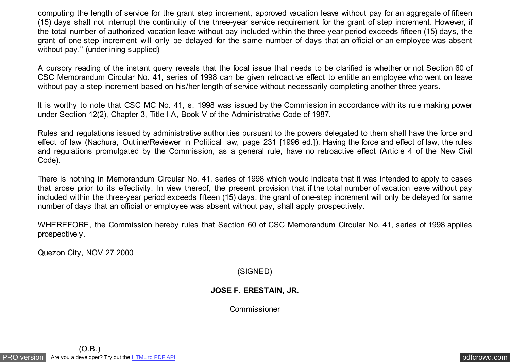computing the length of service for the grant step increment, approved vacation leave without pay for an aggregate of fifteen (15) days shall not interrupt the continuity of the three-year service requirement for the grant of step increment. However, if the total number of authorized vacation leave without pay included within the three-year period exceeds fifteen (15) days, the grant of one-step increment will only be delayed for the same number of days that an official or an employee was absent without pay." (underlining supplied)

A cursory reading of the instant query reveals that the focal issue that needs to be clarified is whether or not Section 60 of CSC Memorandum Circular No. 41, series of 1998 can be given retroactive effect to entitle an employee who went on leave without pay a step increment based on his/her length of service without necessarily completing another three years.

It is worthy to note that CSC MC No. 41, s. 1998 was issued by the Commission in accordance with its rule making power under Section 12(2), Chapter 3, Title I-A, Book V of the Administrative Code of 1987.

Rules and regulations issued by administrative authorities pursuant to the powers delegated to them shall have the force and effect of law (Nachura, Outline/Reviewer in Political law, page 231 [1996 ed.]). Having the force and effect of law, the rules and regulations promulgated by the Commission, as a general rule, have no retroactive effect (Article 4 of the New Civil Code).

There is nothing in Memorandum Circular No. 41, series of 1998 which would indicate that it was intended to apply to cases that arose prior to its effectivity. In view thereof, the present provision that if the total number of vacation leave without pay included within the three-year period exceeds fifteen (15) days, the grant of one-step increment will only be delayed for same number of days that an official or employee was absent without pay, shall apply prospectively.

WHEREFORE, the Commission hereby rules that Section 60 of CSC Memorandum Circular No. 41, series of 1998 applies prospectively.

Quezon City, NOV 27 2000

(SIGNED)

## **JOSE F. ERESTAIN, JR.**

Commissioner